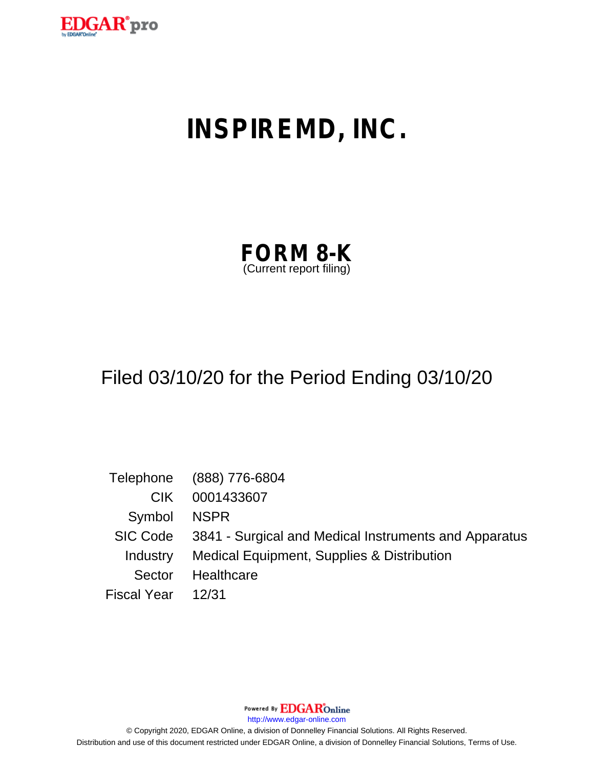

# **INSPIREMD, INC.**

| <b>FORM 8-K</b>         |  |
|-------------------------|--|
| (Current report filing) |  |

# Filed 03/10/20 for the Period Ending 03/10/20

|                    | Telephone (888) 776-6804                                       |
|--------------------|----------------------------------------------------------------|
| CIK.               | 0001433607                                                     |
| Symbol NSPR        |                                                                |
|                    | SIC Code 3841 - Surgical and Medical Instruments and Apparatus |
|                    | Industry Medical Equipment, Supplies & Distribution            |
| Sector             | Healthcare                                                     |
| Fiscal Year  12/31 |                                                                |

Powered By **EDGAR**Online

http://www.edgar-online.com

© Copyright 2020, EDGAR Online, a division of Donnelley Financial Solutions. All Rights Reserved. Distribution and use of this document restricted under EDGAR Online, a division of Donnelley Financial Solutions, Terms of Use.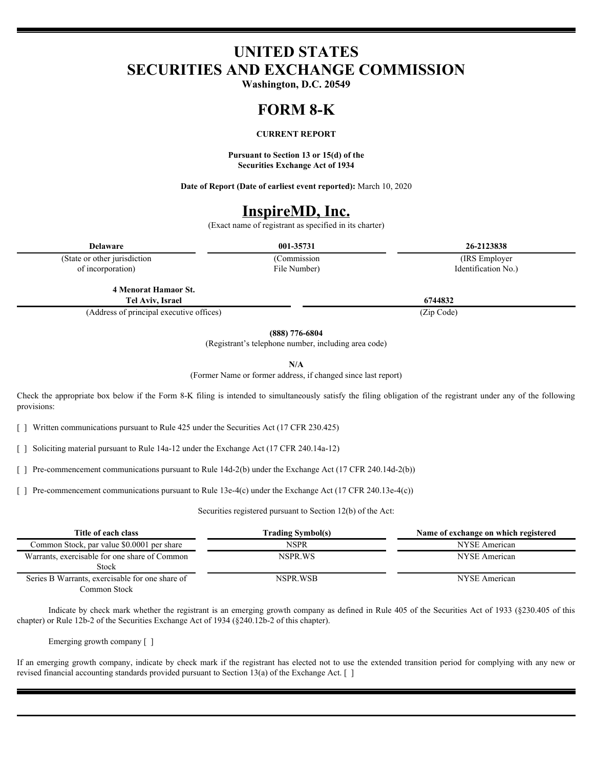# **UNITED STATES SECURITIES AND EXCHANGE COMMISSION**

**Washington, D.C. 20549**

## **FORM 8-K**

#### **CURRENT REPORT**

**Pursuant to Section 13 or 15(d) of the Securities Exchange Act of 1934**

**Date of Report (Date of earliest event reported):** March 10, 2020

### **InspireMD, Inc.**

(Exact name of registrant as specified in its charter)

(State or other jurisdiction of incorporation)

File Number)

**Delaware 001-35731 26-2123838** (Commission (IRS Employer Identification No.)

**4 Menorat Hamaor St. Tel Aviv, Israel 6744832**

(Address of principal executive offices) (Zip Code)

**(888) 776-6804**

(Registrant's telephone number, including area code)

**N/A**

(Former Name or former address, if changed since last report)

Check the appropriate box below if the Form 8-K filing is intended to simultaneously satisfy the filing obligation of the registrant under any of the following provisions:

[ ] Written communications pursuant to Rule 425 under the Securities Act (17 CFR 230.425)

[ ] Soliciting material pursuant to Rule 14a-12 under the Exchange Act (17 CFR 240.14a-12)

[ ] Pre-commencement communications pursuant to Rule 14d-2(b) under the Exchange Act (17 CFR 240.14d-2(b))

[ ] Pre-commencement communications pursuant to Rule 13e-4(c) under the Exchange Act (17 CFR 240.13e-4(c))

Securities registered pursuant to Section 12(b) of the Act:

| Title of each class                             | <b>Trading Symbol(s)</b> | Name of exchange on which registered |
|-------------------------------------------------|--------------------------|--------------------------------------|
| Common Stock, par value \$0.0001 per share      | NSPR                     | NYSE American                        |
| Warrants, exercisable for one share of Common   | NSPR.WS                  | NYSE American                        |
| Stock                                           |                          |                                      |
| Series B Warrants, exercisable for one share of | NSPR WSB                 | NYSE American                        |
| Common Stock                                    |                          |                                      |

Indicate by check mark whether the registrant is an emerging growth company as defined in Rule 405 of the Securities Act of 1933 (§230.405 of this chapter) or Rule 12b-2 of the Securities Exchange Act of 1934 (§240.12b-2 of this chapter).

Emerging growth company [ ]

If an emerging growth company, indicate by check mark if the registrant has elected not to use the extended transition period for complying with any new or revised financial accounting standards provided pursuant to Section 13(a) of the Exchange Act. [ ]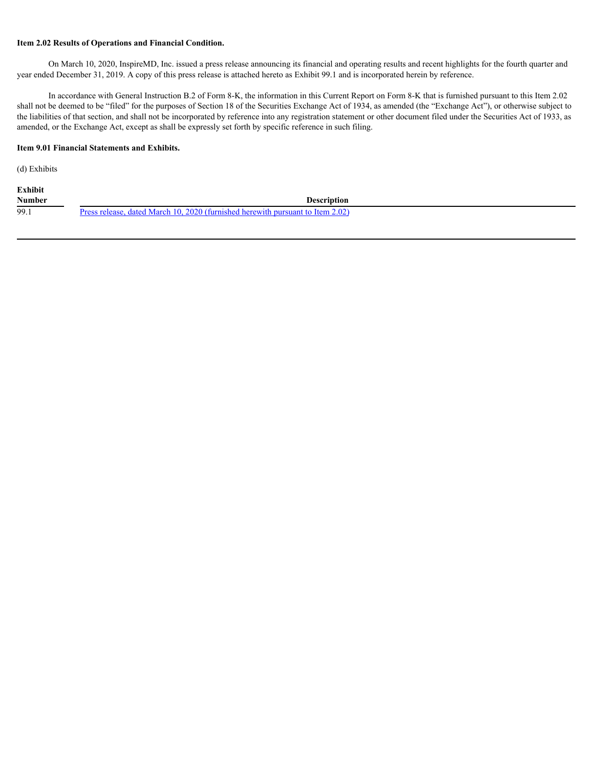#### **Item 2.02 Results of Operations and Financial Condition.**

On March 10, 2020, InspireMD, Inc. issued a press release announcing its financial and operating results and recent highlights for the fourth quarter and year ended December 31, 2019. A copy of this press release is attached hereto as Exhibit 99.1 and is incorporated herein by reference.

In accordance with General Instruction B.2 of Form 8-K, the information in this Current Report on Form 8-K that is furnished pursuant to this Item 2.02 shall not be deemed to be "filed" for the purposes of Section 18 of the Securities Exchange Act of 1934, as amended (the "Exchange Act"), or otherwise subject to the liabilities of that section, and shall not be incorporated by reference into any registration statement or other document filed under the Securities Act of 1933, as amended, or the Exchange Act, except as shall be expressly set forth by specific reference in such filing.

#### **Item 9.01 Financial Statements and Exhibits.**

(d) Exhibits

| <b>Exhibit</b> |                                                                                           |  |
|----------------|-------------------------------------------------------------------------------------------|--|
| <b>Number</b>  | Description                                                                               |  |
| 99.1           | dated March 10, 2020 (furnished herewith pursuant to Item $2.02$ )<br>Jracc ral<br>هووها، |  |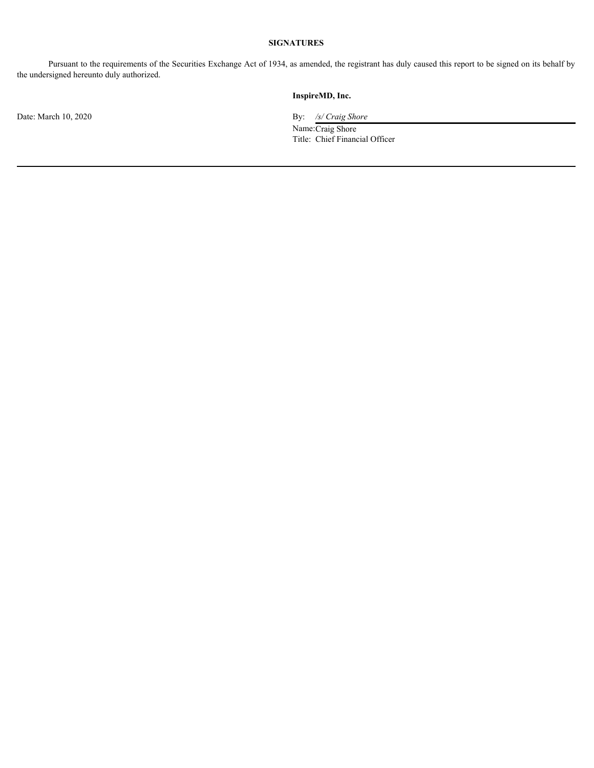#### **SIGNATURES**

Pursuant to the requirements of the Securities Exchange Act of 1934, as amended, the registrant has duly caused this report to be signed on its behalf by the undersigned hereunto duly authorized.

#### **InspireMD, Inc.**

Date: March 10, 2020 By: */s/ Craig Shore* 

Name: Craig Shore Title: Chief Financial Officer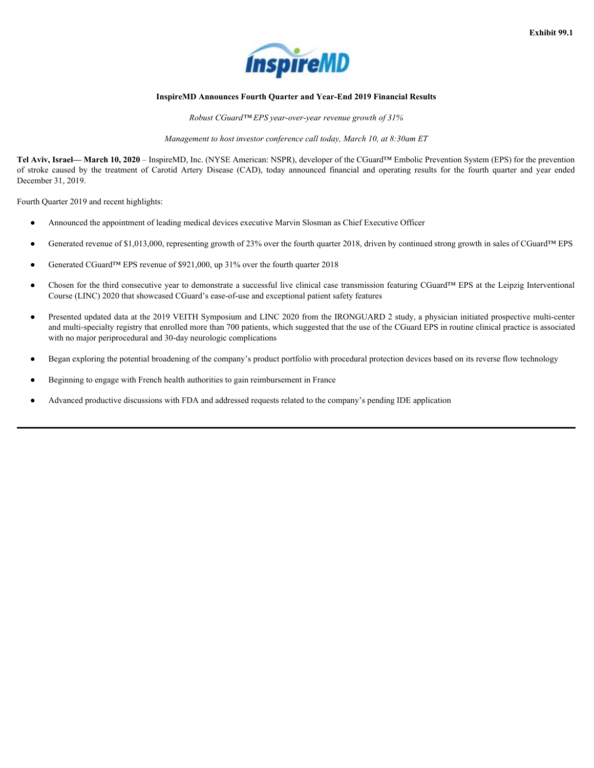

#### <span id="page-4-0"></span>**InspireMD Announces Fourth Quarter and Year-End 2019 Financial Results**

*Robust CGuard™ EPS year-over-year revenue growth of 31%*

*Management to host investor conference call today, March 10, at 8:30am ET*

**Tel Aviv, Israel— March 10, 2020** – InspireMD, Inc. (NYSE American: NSPR), developer of the CGuard™ Embolic Prevention System (EPS) for the prevention **Exhibit 99.1**<br> **Exhibit 99.1**<br> **InspireMD Announces Fourth Quarter and Year-End 2019 Financial Results**<br> *Robust CGuard<sup>TM</sup> EPS) year-over-year revenue growth of 31%<br>
Management to hast investor conference call today. Ma* December 31, 2019.

Fourth Quarter 2019 and recent highlights:

- Announced the appointment of leading medical devices executive Marvin Slosman as Chief Executive Officer
- Generated revenue of \$1,013,000, representing growth of 23% over the fourth quarter 2018, driven by continued strong growth in sales of CGuard™ EPS
- Generated CGuard™ EPS revenue of \$921,000, up 31% over the fourth quarter 2018
- Chosen for the third consecutive year to demonstrate a successful live clinical case transmission featuring CGuard™ EPS at the Leipzig Interventional Course (LINC) 2020 that showcased CGuard's ease-of-use and exceptional patient safety features
- Presented updated data at the 2019 VEITH Symposium and LINC 2020 from the IRONGUARD 2 study, a physician initiated prospective multi-center and multi-specialty registry that enrolled more than 700 patients, which suggested that the use of the CGuard EPS in routine clinical practice is associated with no major periprocedural and 30-day neurologic complications
- Began exploring the potential broadening of the company's product portfolio with procedural protection devices based on its reverse flow technology
- Beginning to engage with French health authorities to gain reimbursement in France
- Advanced productive discussions with FDA and addressed requests related to the company's pending IDE application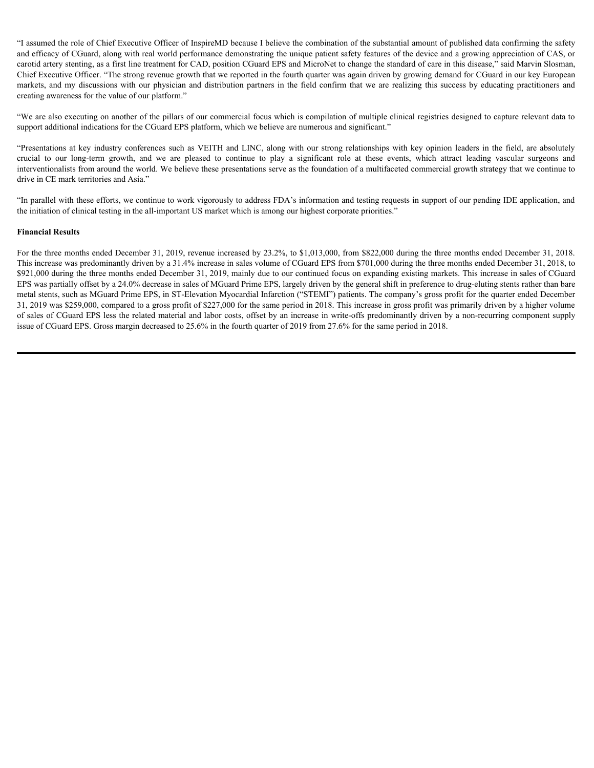"I assumed the role of Chief Executive Officer of InspireMD because I believe the combination of the substantial amount of published data confirming the safety and efficacy of CGuard, along with real world performance demonstrating the unique patient safety features of the device and a growing appreciation of CAS, or carotid artery stenting, as a first line treatment for CAD, position CGuard EPS and MicroNet to change the standard of care in this disease," said Marvin Slosman, Chief Executive Officer. "The strong revenue growth that we reported in the fourth quarter was again driven by growing demand for CGuard in our key European "I assumed the role of Chief Executive Officer of InspireMD because I believe the combination of the substantial amount of published data confirming the safety<br>and effice of Colard, along with real world performance demons creating awareness for the value of our platform." "I assumed the role of Chief Executive Officer of InspireMD becauss I believe the combination of the substantial amount of published data confirming the safety<br>and effectory of CGuard, along with real word performance demo

"We are also executing on another of the pillars of our commercial focus which is compilation of multiple clinical registries designed to capture relevant data to support additional indications for the CGuard EPS platform, which we believe are numerous and significant."

"Presentations at key industry conferences such as VEITH and LINC, along with our strong relationships with key opinion leaders in the field, are absolutely interventionalists from around the world. We believe these presentations serve as the foundation of a multifaceted commercial growth strategy that we continue to drive in CE mark territories and Asia."

"In parallel with these efforts, we continue to work vigorously to address FDA's information and testing requests in support of our pending IDE application, and the initiation of clinical testing in the all-important US market which is among our highest corporate priorities."

#### **Financial Results**

For the three months ended December 31, 2019, revenue increased by 23.2%, to \$1,013,000, from \$822,000 during the three months ended December 31, 2018. This increase was predominantly driven by a 31.4% increase in sales volume of CGuard EPS from \$701,000 during the three months ended December 31, 2018, to \$921,000 during the three months ended December 31, 2019, mainly due to our continued focus on expanding existing markets. This increase in sales of CGuard EPS was partially offset by a 24.0% decrease in sales of MGuard Prime EPS, largely driven by the general shift in preference to drug-eluting stents rather than bare metal stents, such as MGuard Prime EPS, in ST-Elevation Myocardial Infarction ("STEMI") patients. The company's gross profit for the quarter ended December 31, 2019 was \$259,000, compared to a gross profit of \$227,000 for the same period in 2018. This increase in gross profit was primarily driven by a higher volume of sales of CGuard EPS less the related material and labor costs, offset by an increase in write-offs predominantly driven by a non-recurring component supply issue of CGuard EPS. Gross margin decreased to 25.6% in the fourth quarter of 2019 from 27.6% for the same period in 2018.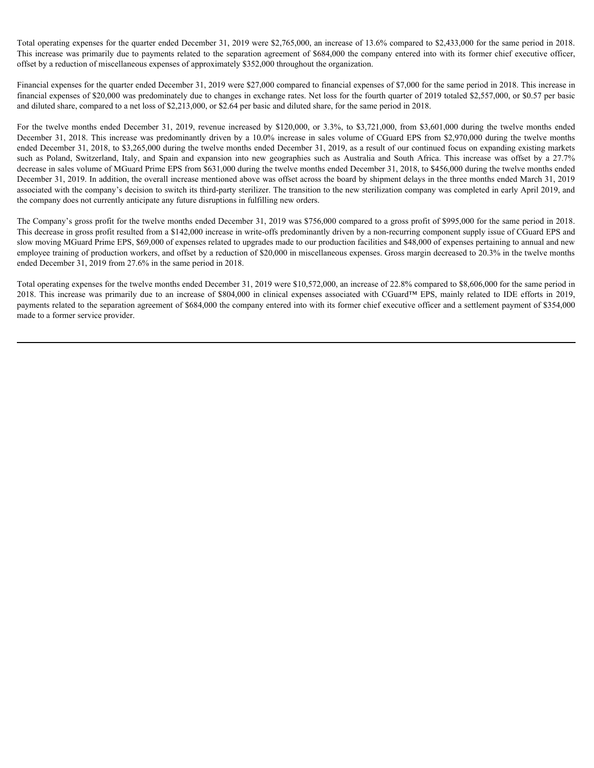Total operating expenses for the quarter ended December 31, 2019 were \$2,765,000, an increase of 13.6% compared to \$2,433,000 for the same period in 2018. This increase was primarily due to payments related to the separation agreement of \$684,000 the company entered into with its former chief executive officer, offset by a reduction of miscellaneous expenses of approximately \$352,000 throughout the organization.

Financial expenses for the quarter ended December 31, 2019 were \$27,000 compared to financial expenses of \$7,000 for the same period in 2018. This increase in financial expenses of \$20,000 was predominately due to changes in exchange rates. Net loss for the fourth quarter of 2019 totaled \$2,557,000, or \$0.57 per basic and diluted share, compared to a net loss of \$2,213,000, or \$2.64 per basic and diluted share, for the same period in 2018.

Total operating expenses for the quarter ended December 31, 2019 were \$2,765,000, an increase of 13.6% compared to \$2,433,000 for the same period in 2018.<br>This increase was primarily due to payments related to the separat December 31, 2018. This increase was predominantly driven by a 10.0% increase in sales volume of CGuard EPS from \$2,970,000 during the twelve months ended December 31, 2018, to \$3,265,000 during the twelve months ended December 31, 2019, as a result of our continued focus on expanding existing markets Total operating expenses for the quarter ended December 31, 2019 were \$2,765,000, an increase of 13.6% compared to \$2,433,000 for the same period in 2018.<br>This increase was primarily due to payments related to the sparati decrease in sales volume of MGuard Prime EPS from \$631,000 during the twelve months ended December 31, 2018, to \$456,000 during the twelve months ended December 31, 2019. In addition, the overall increase mentioned above was offset across the board by shipment delays in the three months ended March 31, 2019 associated with the company's decision to switch its third-party sterilizer. The transition to the new sterilization company was completed in early April 2019, and the company does not currently anticipate any future disruptions in fulfilling new orders. Total operating expenses for the quatter ended December 31, 2019 were \$2,765,000, an increase of 13.6% compared to \$24,43,000 for the same period in 2018.<br>This increase was primarily due to by your fit clinical to be comp

The Company's gross profit for the twelve months ended December 31, 2019 was \$756,000 compared to a gross profit of \$995,000 for the same period in 2018. This decrease in gross profit resulted from a \$142,000 increase in write-offs predominantly driven by a non-recurring component supply issue of CGuard EPS and slow moving MGuard Prime EPS, \$69,000 of expenses related to upgrades made to our production facilities and \$48,000 of expenses pertaining to annual and new employee training of production workers, and offset by a reduction of \$20,000 in miscellaneous expenses. Gross margin decreased to 20.3% in the twelve months ended December 31, 2019 from 27.6% in the same period in 2018.

Total operating expenses for the twelve months ended December 31, 2019 were \$10,572,000, an increase of 22.8% compared to \$8,606,000 for the same period in payments related to the separation agreement of \$684,000 the company entered into with its former chief executive officer and a settlement payment of \$354,000 made to a former service provider.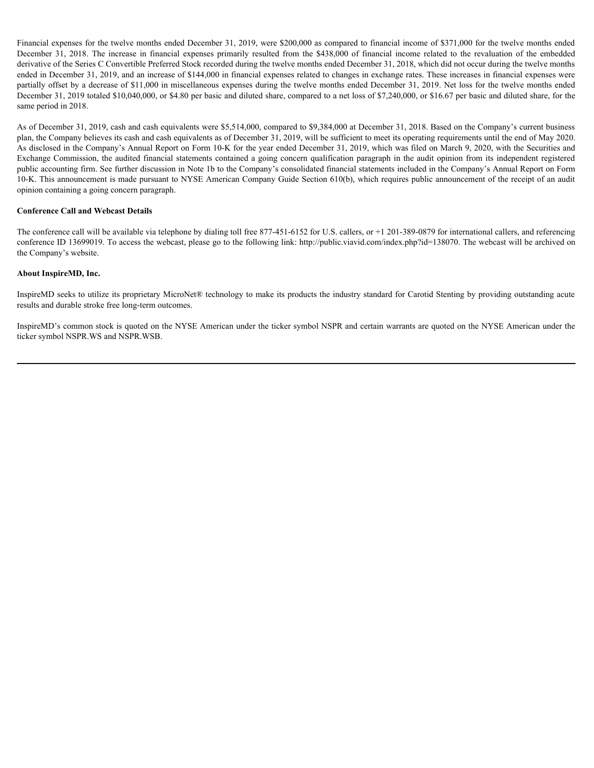Financial expenses for the twelve months ended December 31, 2019, were \$200,000 as compared to financial income of \$371,000 for the twelve months ended Financial expenses for the twelve months ended December 31, 2019, were \$200,000 as compared to financial income of \$371,000 for the twelve months ended<br>December 31, 2018. The increase in financial expenses primarily result derivative of the Series C Convertible Preferred Stock recorded during the twelve months ended December 31, 2018, which did not occur during the twelve months ended in December 31, 2019, and an increase of \$144,000 in financial expenses related to changes in exchange rates. These increases in financial expenses were partially offset by a decrease of \$11,000 in miscellaneous expenses during the twelve months ended December 31, 2019. Net loss for the twelve months ended December 31, 2019 totaled \$10,040,000, or \$4.80 per basic and diluted share, compared to a net loss of \$7,240,000, or \$16.67 per basic and diluted share, for the same period in 2018.

As of December 31, 2019, cash and cash equivalents were \$5,514,000, compared to \$9,384,000 at December 31, 2018. Based on the Company's current business plan, the Company believes its cash and cash equivalents as of December 31, 2019, will be sufficient to meet its operating requirements until the end of May 2020. As disclosed in the Company's Annual Report on Form 10-K for the year ended December 31, 2019, which was filed on March 9, 2020, with the Securities and Exchange Commission, the audited financial statements contained a going concern qualification paragraph in the audit opinion from its independent registered public accounting firm. See further discussion in Note 1b to the Company's consolidated financial statements included in the Company's Annual Report on Form 10-K. This announcement is made pursuant to NYSE American Company Guide Section 610(b), which requires public announcement of the receipt of an audit opinion containing a going concern paragraph.

#### **Conference Call and Webcast Details**

The conference call will be available via telephone by dialing toll free 877-451-6152 for U.S. callers, or +1 201-389-0879 for international callers, and referencing conference ID 13699019. To access the webcast, please go to the following link: http://public.viavid.com/index.php?id=138070. The webcast will be archived on the Company's website.

#### **About InspireMD, Inc.**

InspireMD seeks to utilize its proprietary MicroNet® technology to make its products the industry standard for Carotid Stenting by providing outstanding acute results and durable stroke free long-term outcomes.

InspireMD's common stock is quoted on the NYSE American under the ticker symbol NSPR and certain warrants are quoted on the NYSE American under the ticker symbol NSPR.WS and NSPR.WSB.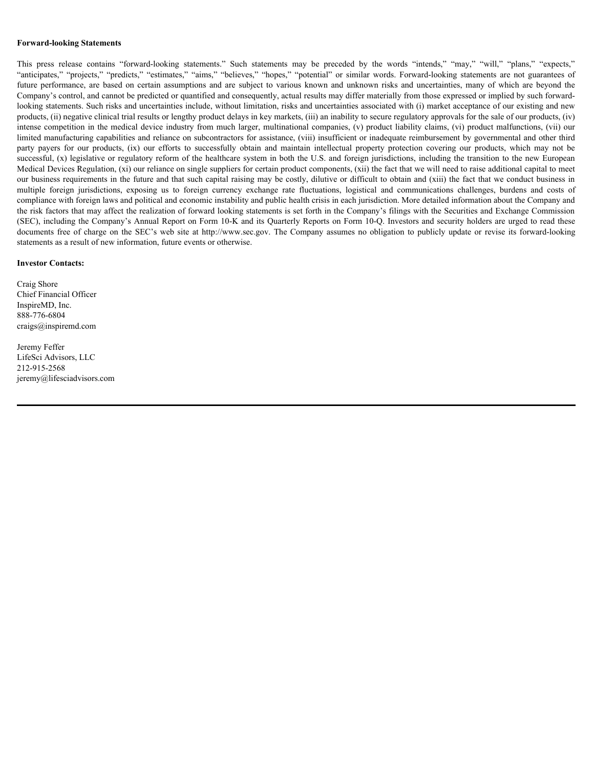#### **Forward-looking Statements**

Forward-looking Statements<br>This press release contains "forward-looking statements." Such statements may be preceded by the words "intends," "may," "will," "plans," "expects,"<br>"anticipates," "projects," "repricties," "may, Forward-looking Statements<br>
This press release contains "forward-looking statements." Such statements may be preceded by the words "intends," "may," "will," "plans," "expects,"<br>
"anticipates," "projects," "predicts," "esti Forward-looking Statements<br>
This press release contains "forward-looking statements." Such statements may be preceded by the words "intends," "may," "will," "plans," "expects."<br>
"anticipates," "projects," "prodicts," "esti Company's control, and cannot be predicted or quantified and consequently, actual results may differ materially from those expressed or implied by such forwardlooking statements. Such risks and uncertainties include, without limitation, risks and uncertainties associated with (i) market acceptance of our existing and new products, (ii) negative clinical trial results or lengthy product delays in key markets, (iii) an inability to secure regulatory approvals for the sale of our products, (iv) intense competition in the medical device industry from much larger, multinational companies, (v) product liability claims, (vi) product malfunctions, (vii) our limited manufacturing capabilities and reliance on subcontractors for assistance, (viii) insufficient or inadequate reimbursement by governmental and other third Forward-looking Statements<br>
This pess release contains "forward-looking statements." Such statements may be preceded by the words "intends," "may," "will," "plans," "expects,"<br>"anticipates," "projects," "prodicts," "estima successful, (x) legislative or regulatory reform of the healthcare system in both the U.S. and foreign jurisdictions, including the transition to the new European Medical Devices Regulation, (xi) our reliance on single suppliers for certain product components, (xii) the fact that we will need to raise additional capital to meet our business requirements in the future and that such capital raising may be costly, dilutive or difficult to obtain and (xiii) the fact that we conduct business in **Forward-looking Statements**<br>This press release contains "forward-looking statements." Such statements may be preceded by the words "intends," "may," "will," "plans," "expects,"<br>"arificipates," "projects," "periotes," "est compliance with foreign laws and political and economic instability and public health crisis in each jurisdiction. More detailed information about the Company and the risk factors that may affect the realization of forward looking statements is set forth in the Company's filings with the Securities and Exchange Commission (SEC), including the Company's Annual Report on Form 10-K and its Quarterly Reports on Form 10-Q. Investors and security holders are urged to read these **Forward-booking Statements**<br>This press release contains "forward-leeding statements." Stach statements may be preceded by the words "interacts," "may," "will." "plans," "capsets,"<br>"anticipates," "product," "product," "pr statements as a result of new information, future events or otherwise.

#### **Investor Contacts:**

Craig Shore Chief Financial Officer InspireMD, Inc. 888-776-6804 craigs@inspiremd.com

Jeremy Feffer LifeSci Advisors, LLC 212-915-2568 jeremy@lifesciadvisors.com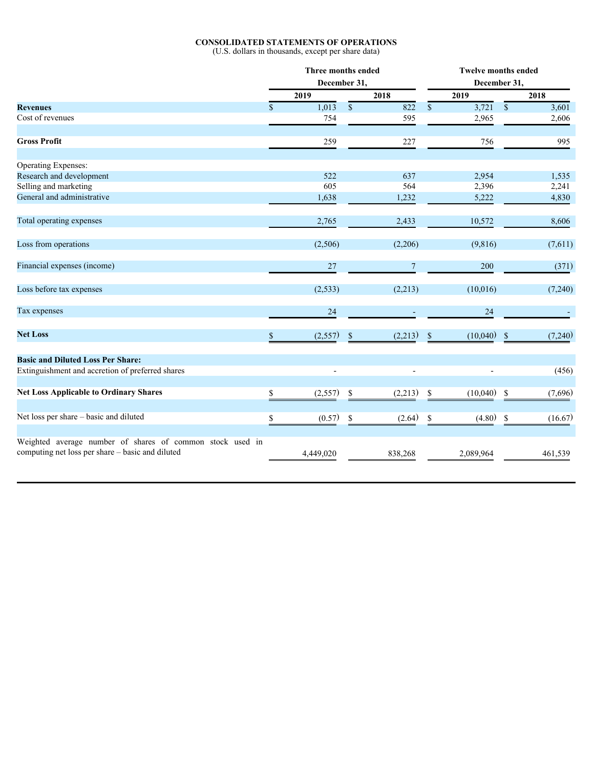#### **CONSOLIDATED STATEMENTS OF OPERATIONS**

(U.S. dollars in thousands, except per share data)

|                                                           | Three months ended<br>December 31, |                |              | <b>Twelve months ended</b><br>December 31, |                 |                       |              |         |
|-----------------------------------------------------------|------------------------------------|----------------|--------------|--------------------------------------------|-----------------|-----------------------|--------------|---------|
|                                                           | 2019                               |                |              | 2018                                       |                 | 2019                  |              | 2018    |
| <b>Revenues</b>                                           | $\mathbb{S}$                       | 1,013          | $\mathbb{S}$ | 822                                        | $\overline{\$}$ | $\overline{3,721}$ \$ |              | 3,601   |
| Cost of revenues                                          |                                    | 754            |              | 595                                        |                 | 2,965                 |              | 2,606   |
| <b>Gross Profit</b>                                       |                                    | 259            |              | 227                                        |                 | 756                   |              | 995     |
| <b>Operating Expenses:</b>                                |                                    |                |              |                                            |                 |                       |              |         |
| Research and development                                  |                                    | 522            |              | 637                                        |                 | 2,954                 |              | 1,535   |
| Selling and marketing                                     |                                    | 605            |              | 564                                        |                 | 2,396                 |              | 2,241   |
| General and administrative                                |                                    | 1,638          |              | 1,232                                      |                 | 5,222                 |              | 4,830   |
| Total operating expenses                                  |                                    | 2,765          |              | 2,433                                      |                 | 10,572                |              | 8,606   |
| Loss from operations                                      |                                    | (2,506)        |              | (2,206)                                    |                 | (9, 816)              |              | (7,611) |
| Financial expenses (income)                               |                                    | 27             |              | $\overline{7}$                             |                 | 200                   |              | (371)   |
| Loss before tax expenses                                  |                                    | (2, 533)       |              | (2,213)                                    |                 | (10,016)              |              | (7,240) |
| Tax expenses                                              |                                    | 24             |              | $\mathcal{L}_{\mathcal{A}}$                |                 | $24\,$                |              |         |
| <b>Net Loss</b>                                           | \$                                 | (2,557)        | $\mathbb{S}$ | $(2,213)$ \$                               |                 | $(10,040)$ \$         |              | (7,240) |
| <b>Basic and Diluted Loss Per Share:</b>                  |                                    |                |              |                                            |                 |                       |              |         |
| Extinguishment and accretion of preferred shares          |                                    | $\overline{a}$ |              | $\blacksquare$                             |                 |                       |              | (456)   |
| <b>Net Loss Applicable to Ordinary Shares</b>             | \$                                 | (2,557)        | $\mathbb{S}$ | (2,213)                                    | $\mathbb S$     | $(10,040)$ \$         |              | (7,696) |
| Net loss per share - basic and diluted                    |                                    | (0.57)         | $\mathbb{S}$ | (2.64)                                     | $\mathbb S$     | (4.80)                | $\mathbb{S}$ | (16.67) |
| Weighted average number of shares of common stock used in |                                    |                |              |                                            |                 |                       |              |         |
| computing net loss per share - basic and diluted          |                                    | 4,449,020      |              | 838,268                                    |                 | 2,089,964             |              | 461,539 |
|                                                           |                                    |                |              |                                            |                 |                       |              |         |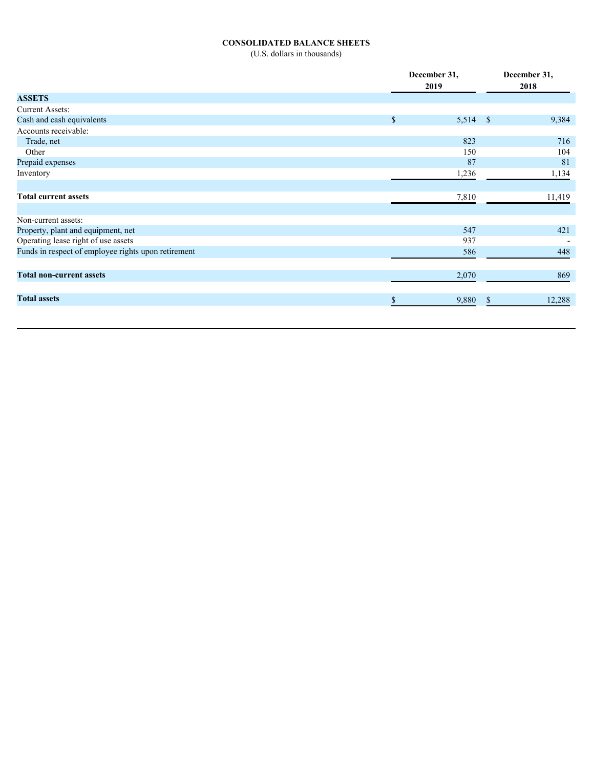#### **CONSOLIDATED BALANCE SHEETS**

(U.S. dollars in thousands)

|                                                     |             | December 31, | December 31,   |  |  |
|-----------------------------------------------------|-------------|--------------|----------------|--|--|
|                                                     |             | 2019         | 2018           |  |  |
| <b>ASSETS</b>                                       |             |              |                |  |  |
| <b>Current Assets:</b>                              |             |              |                |  |  |
| Cash and cash equivalents                           | $\mathbf S$ | $5,514$ \$   | 9,384          |  |  |
| Accounts receivable:                                |             |              |                |  |  |
| Trade, net                                          |             | 823          | 716            |  |  |
| Other                                               |             | 150          | 104            |  |  |
| Prepaid expenses                                    |             | 87           | 81             |  |  |
| Inventory                                           |             | 1,236        | 1,134          |  |  |
| <b>Total current assets</b>                         |             | 7,810        | 11,419         |  |  |
|                                                     |             |              |                |  |  |
| Non-current assets:                                 |             |              |                |  |  |
| Property, plant and equipment, net                  |             | 547          | 421            |  |  |
| Operating lease right of use assets                 |             | 937          |                |  |  |
| Funds in respect of employee rights upon retirement |             | 586          | 448            |  |  |
| <b>Total non-current assets</b>                     |             | 2,070        | 869            |  |  |
|                                                     |             |              |                |  |  |
| <b>Total assets</b>                                 |             | 9,880        | 12,288<br>- \$ |  |  |
|                                                     |             |              |                |  |  |